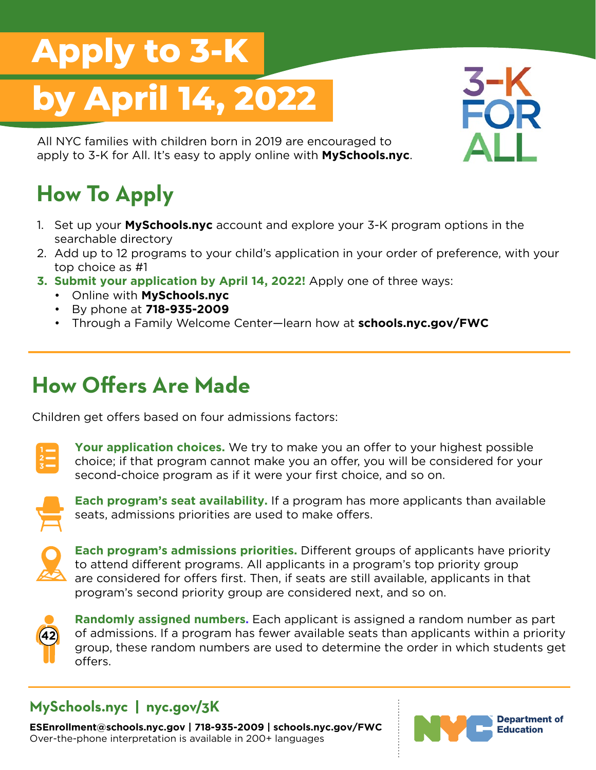# **Apply to 3-K by April 14, 2022**

All NYC families with children born in 2019 are encouraged to apply to 3-K for All. It's easy to apply online with **MySchools.nyc**.

## **How To Apply**

- 1. Set up your **MySchools.nyc** account and explore your 3-K program options in the searchable directory
- 2. Add up to 12 programs to your child's application in your order of preference, with your top choice as #1
- **3. Submit your application by April 14, 2022!** Apply one of three ways:
	- Online with **MySchools.nyc**
	- By phone at **718-935-2009**
	- Through a Family Welcome Center—learn how at **schools.nyc.gov/FWC**

### **How Offers Are Made**

Children get offers based on four admissions factors:



**Your application choices.** We try to make you an offer to your highest possible choice; if that program cannot make you an offer, you will be considered for your second-choice program as if it were your first choice, and so on.



**Each program's seat availability.** If a program has more applicants than available seats, admissions priorities are used to make offers.



**Each program's admissions priorities.** Different groups of applicants have priority to attend different programs. All applicants in a program's top priority group are considered for offers first. Then, if seats are still available, applicants in that program's second priority group are considered next, and so on.



**Randomly assigned numbers.** Each applicant is assigned a random number as part of admissions. If a program has fewer available seats than applicants within a priority group, these random numbers are used to determine the order in which students get offers.

#### **MySchools.nyc | nyc.gov/3K**

**ESEnrollment@schools.nyc.gov | 718-935-2009 | schools.nyc.gov/FWC** Over-the-phone interpretation is available in 200+ languages